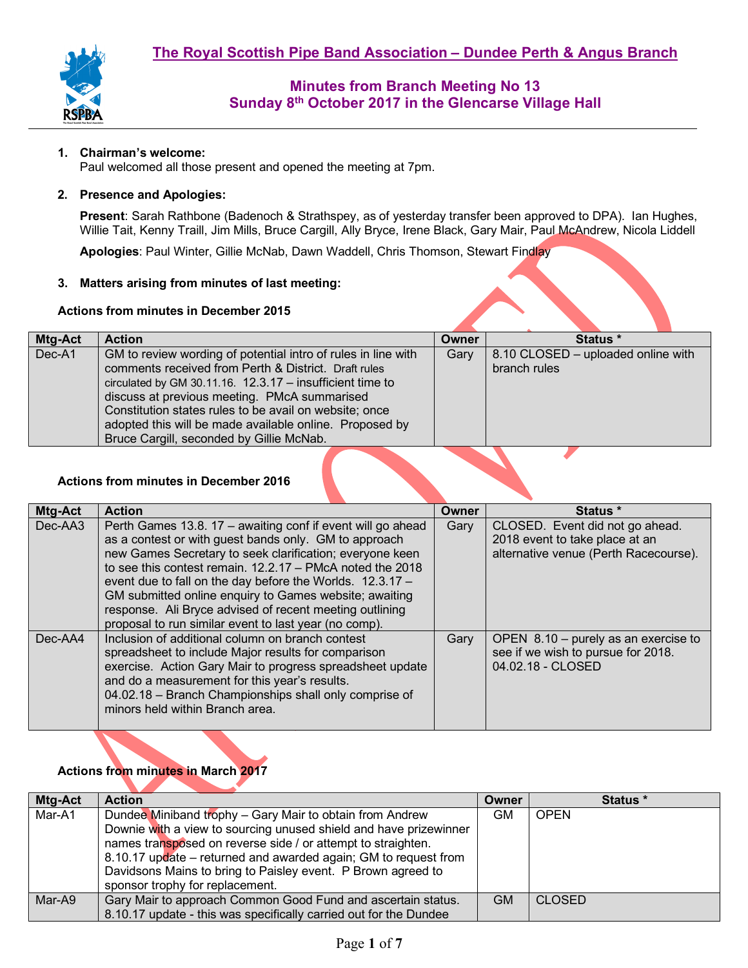

### **1. Chairman's welcome:**

Paul welcomed all those present and opened the meeting at 7pm.

#### **2. Presence and Apologies:**

**Present**: Sarah Rathbone (Badenoch & Strathspey, as of yesterday transfer been approved to DPA). Ian Hughes, Willie Tait, Kenny Traill, Jim Mills, Bruce Cargill, Ally Bryce, Irene Black, Gary Mair, Paul McAndrew, Nicola Liddell

**Apologies**: Paul Winter, Gillie McNab, Dawn Waddell, Chris Thomson, Stewart Findlay

### **3. Matters arising from minutes of last meeting:**

#### **Actions from minutes in December 2015**

| Mtg-Act<br>Status *<br><b>Action</b><br>Owner                                                                         |  |
|-----------------------------------------------------------------------------------------------------------------------|--|
|                                                                                                                       |  |
| Dec-A1<br>8.10 CLOSED – uploaded online with<br>GM to review wording of potential intro of rules in line with<br>Gary |  |
| comments received from Perth & District. Draft rules<br>branch rules                                                  |  |
| circulated by GM 30.11.16. $12.3.17 -$ insufficient time to                                                           |  |
| discuss at previous meeting. PMcA summarised                                                                          |  |
| Constitution states rules to be avail on website; once                                                                |  |
| adopted this will be made available online. Proposed by                                                               |  |
| Bruce Cargill, seconded by Gillie McNab.                                                                              |  |

### **Actions from minutes in December 2016**

| Mtg-Act | <b>Action</b>                                                                                                                                                                                                                                                                                                                                                                                                                                                                              | Owner | Status *                                                                                                   |  |
|---------|--------------------------------------------------------------------------------------------------------------------------------------------------------------------------------------------------------------------------------------------------------------------------------------------------------------------------------------------------------------------------------------------------------------------------------------------------------------------------------------------|-------|------------------------------------------------------------------------------------------------------------|--|
| Dec-AA3 | Perth Games 13.8. 17 - awaiting conf if event will go ahead<br>as a contest or with guest bands only. GM to approach<br>new Games Secretary to seek clarification; everyone keen<br>to see this contest remain, $12.2.17 - PMcA$ noted the 2018<br>event due to fall on the day before the Worlds. 12.3.17 -<br>GM submitted online enquiry to Games website; awaiting<br>response. Ali Bryce advised of recent meeting outlining<br>proposal to run similar event to last year (no comp). | Gary  | CLOSED. Event did not go ahead.<br>2018 event to take place at an<br>alternative venue (Perth Racecourse). |  |
| Dec-AA4 | Inclusion of additional column on branch contest<br>spreadsheet to include Major results for comparison<br>exercise. Action Gary Mair to progress spreadsheet update<br>and do a measurement for this year's results.<br>04.02.18 - Branch Championships shall only comprise of<br>minors held within Branch area.                                                                                                                                                                         | Gary  | OPEN $8.10$ – purely as an exercise to<br>see if we wish to pursue for 2018.<br>04.02.18 - CLOSED          |  |

## **Actions from minutes in March 2017**

| Mtg-Act | <b>Action</b>                                                                                                                   | Owner     | Status *      |
|---------|---------------------------------------------------------------------------------------------------------------------------------|-----------|---------------|
| Mar-A1  | Dundee Miniband trophy - Gary Mair to obtain from Andrew                                                                        | <b>GM</b> | <b>OPEN</b>   |
|         | Downie with a view to sourcing unused shield and have prizewinner                                                               |           |               |
|         | names transposed on reverse side / or attempt to straighten.<br>8.10.17 update – returned and awarded again; GM to request from |           |               |
|         |                                                                                                                                 |           |               |
|         | Davidsons Mains to bring to Paisley event. P Brown agreed to<br>sponsor trophy for replacement.                                 |           |               |
| Mar-A9  | Gary Mair to approach Common Good Fund and ascertain status.                                                                    | <b>GM</b> | <b>CLOSED</b> |
|         | 8.10.17 update - this was specifically carried out for the Dundee                                                               |           |               |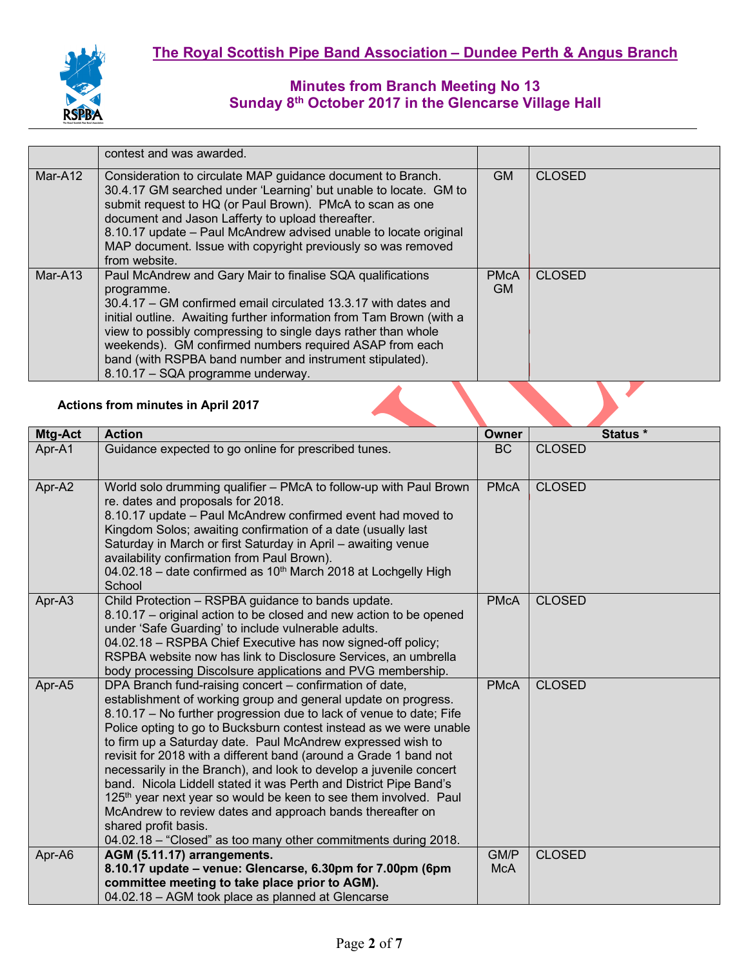|         | contest and was awarded.                                                                                                                                                                                                                                                                                                                                                                                                                        |                    |               |
|---------|-------------------------------------------------------------------------------------------------------------------------------------------------------------------------------------------------------------------------------------------------------------------------------------------------------------------------------------------------------------------------------------------------------------------------------------------------|--------------------|---------------|
| Mar-A12 | Consideration to circulate MAP guidance document to Branch.<br>30.4.17 GM searched under 'Learning' but unable to locate. GM to<br>submit request to HQ (or Paul Brown). PMcA to scan as one<br>document and Jason Lafferty to upload thereafter.<br>8.10.17 update - Paul McAndrew advised unable to locate original<br>MAP document. Issue with copyright previously so was removed<br>from website.                                          | <b>GM</b>          | <b>CLOSED</b> |
| Mar-A13 | Paul McAndrew and Gary Mair to finalise SQA qualifications<br>programme.<br>30.4.17 – GM confirmed email circulated 13.3.17 with dates and<br>initial outline. Awaiting further information from Tam Brown (with a<br>view to possibly compressing to single days rather than whole<br>weekends). GM confirmed numbers required ASAP from each<br>band (with RSPBA band number and instrument stipulated).<br>8.10.17 - SQA programme underway. | <b>PMcA</b><br>GM. | <b>CLOSED</b> |
|         | <b>Actions from minutes in April 2017</b>                                                                                                                                                                                                                                                                                                                                                                                                       |                    |               |

### **Actions from minutes in April 2017**

| Mtg-Act | <b>Action</b>                                                                                                                                                                                                                                                                                                                                                                                                                                                                                                                                                                                                                                                                                                                                                                                | Owner              | Status *      |
|---------|----------------------------------------------------------------------------------------------------------------------------------------------------------------------------------------------------------------------------------------------------------------------------------------------------------------------------------------------------------------------------------------------------------------------------------------------------------------------------------------------------------------------------------------------------------------------------------------------------------------------------------------------------------------------------------------------------------------------------------------------------------------------------------------------|--------------------|---------------|
| Apr-A1  | Guidance expected to go online for prescribed tunes.                                                                                                                                                                                                                                                                                                                                                                                                                                                                                                                                                                                                                                                                                                                                         | <b>BC</b>          | <b>CLOSED</b> |
| Apr-A2  | World solo drumming qualifier - PMcA to follow-up with Paul Brown<br>re. dates and proposals for 2018.<br>8.10.17 update - Paul McAndrew confirmed event had moved to<br>Kingdom Solos; awaiting confirmation of a date (usually last<br>Saturday in March or first Saturday in April - awaiting venue<br>availability confirmation from Paul Brown).<br>04.02.18 - date confirmed as 10 <sup>th</sup> March 2018 at Lochgelly High<br>School                                                                                                                                                                                                                                                                                                                                                | <b>PMcA</b>        | <b>CLOSED</b> |
| Apr-A3  | Child Protection - RSPBA guidance to bands update.<br>8.10.17 – original action to be closed and new action to be opened<br>under 'Safe Guarding' to include vulnerable adults.<br>04.02.18 - RSPBA Chief Executive has now signed-off policy;<br>RSPBA website now has link to Disclosure Services, an umbrella<br>body processing Discolsure applications and PVG membership.                                                                                                                                                                                                                                                                                                                                                                                                              | <b>PMcA</b>        | <b>CLOSED</b> |
| Apr-A5  | DPA Branch fund-raising concert - confirmation of date,<br>establishment of working group and general update on progress.<br>8.10.17 – No further progression due to lack of venue to date; Fife<br>Police opting to go to Bucksburn contest instead as we were unable<br>to firm up a Saturday date. Paul McAndrew expressed wish to<br>revisit for 2018 with a different band (around a Grade 1 band not<br>necessarily in the Branch), and look to develop a juvenile concert<br>band. Nicola Liddell stated it was Perth and District Pipe Band's<br>125 <sup>th</sup> year next year so would be keen to see them involved. Paul<br>McAndrew to review dates and approach bands thereafter on<br>shared profit basis.<br>04.02.18 - "Closed" as too many other commitments during 2018. | <b>PMcA</b>        | <b>CLOSED</b> |
| Apr-A6  | AGM (5.11.17) arrangements.<br>8.10.17 update - venue: Glencarse, 6.30pm for 7.00pm (6pm<br>committee meeting to take place prior to AGM).<br>04.02.18 - AGM took place as planned at Glencarse                                                                                                                                                                                                                                                                                                                                                                                                                                                                                                                                                                                              | GM/P<br><b>McA</b> | <b>CLOSED</b> |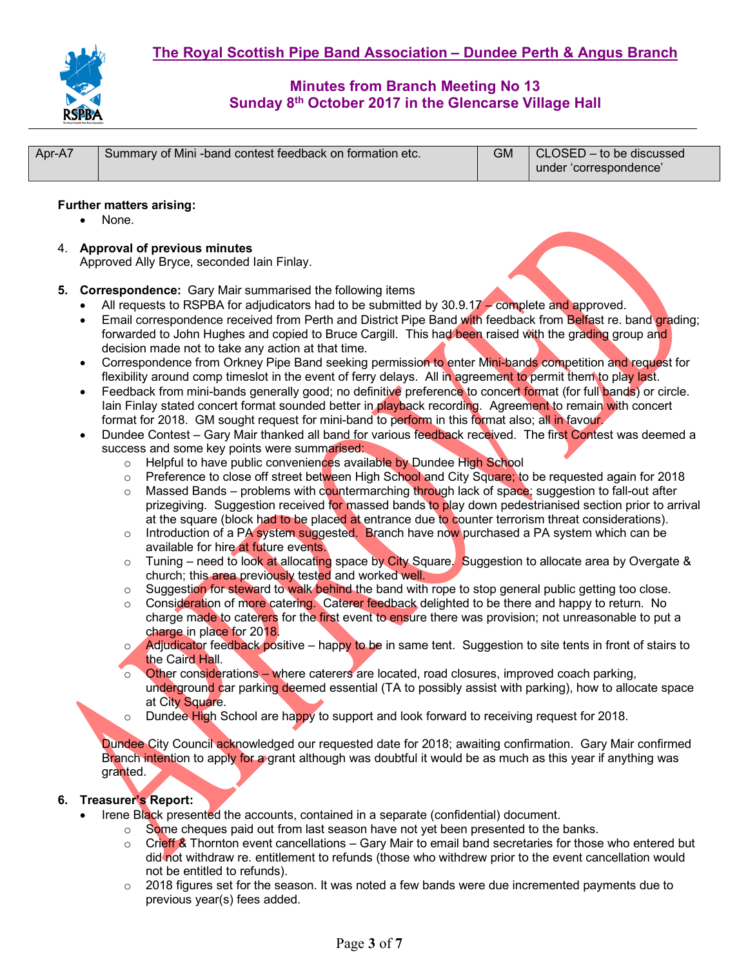

| Apr-A7 | Summary of Mini-band contest feedback on formation etc. | CLOSED - to be discussed<br>under 'correspondence' |
|--------|---------------------------------------------------------|----------------------------------------------------|

### **Further matters arising:**

- None.
- 4. **Approval of previous minutes**  Approved Ally Bryce, seconded Iain Finlay.
- **5. Correspondence:** Gary Mair summarised the following items
	- All requests to RSPBA for adjudicators had to be submitted by 30.9.17 complete and approved.
	- Email correspondence received from Perth and District Pipe Band with feedback from Belfast re. band grading; forwarded to John Hughes and copied to Bruce Cargill. This had been raised with the grading group and decision made not to take any action at that time.
	- Correspondence from Orkney Pipe Band seeking permission to enter Mini-bands competition and request for flexibility around comp timeslot in the event of ferry delays. All in agreement to permit them to play last.
	- Feedback from mini-bands generally good; no definitive preference to concert format (for full bands) or circle. lain Finlay stated concert format sounded better in playback recording. Agreement to remain with concert format for 2018. GM sought request for mini-band to perform in this format also; all in favour.
	- Dundee Contest Gary Mair thanked all band for various feedback received. The first Contest was deemed a success and some key points were summarised:
		- o Helpful to have public conveniences available by Dundee High School
		- o Preference to close off street between High School and City Square; to be requested again for 2018
		- $\circ$  Massed Bands problems with countermarching through lack of space; suggestion to fall-out after prizegiving. Suggestion received for massed bands to play down pedestrianised section prior to arrival at the square (block had to be placed at entrance due to counter terrorism threat considerations).
		- $\circ$  Introduction of a PA system suggested. Branch have now purchased a PA system which can be available for hire at future events.
		- $\circ$  Tuning need to look at allocating space by City Square. Suggestion to allocate area by Overgate & church; this area previously tested and worked well.
		- $\circ$  Suggestion for steward to walk behind the band with rope to stop general public getting too close.
		- o Consideration of more catering. Caterer feedback delighted to be there and happy to return. No charge made to caterers for the first event to ensure there was provision; not unreasonable to put a charge in place for 2018.
		- o **Adjudicator** feedback positive happy to be in same tent. Suggestion to site tents in front of stairs to the Caird Hall.
		- $\circ$  Other considerations where caterers are located, road closures, improved coach parking, underground car parking deemed essential (TA to possibly assist with parking), how to allocate space at City Square.
		- o Dundee High School are happy to support and look forward to receiving request for 2018.

Dundee City Council acknowledged our requested date for 2018; awaiting confirmation. Gary Mair confirmed Branch intention to apply for a grant although was doubtful it would be as much as this year if anything was granted.

#### **6. Treasurer's Report:**

- Irene Black presented the accounts, contained in a separate (confidential) document.
	- $\circ$  Some cheques paid out from last season have not yet been presented to the banks.
		- o Crieff & Thornton event cancellations Gary Mair to email band secretaries for those who entered but did not withdraw re. entitlement to refunds (those who withdrew prior to the event cancellation would not be entitled to refunds).
		- $\circ$  2018 figures set for the season. It was noted a few bands were due incremented payments due to previous year(s) fees added.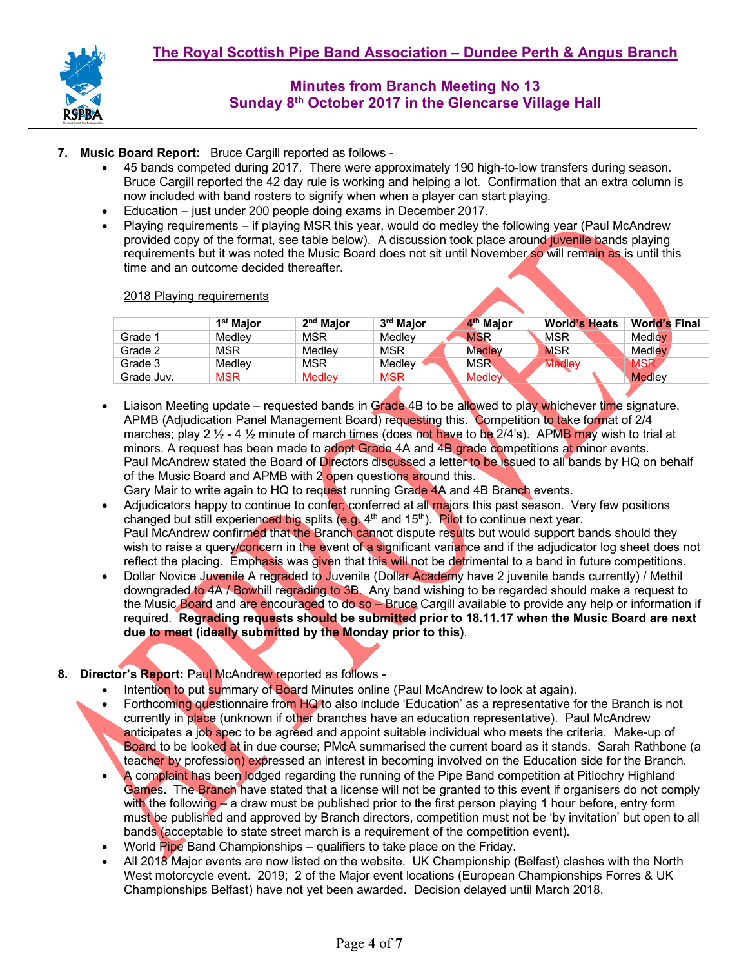

### **7. Music Board Report:** Bruce Cargill reported as follows -

- 45 bands competed during 2017. There were approximately 190 high-to-low transfers during season. Bruce Cargill reported the 42 day rule is working and helping a lot. Confirmation that an extra column is now included with band rosters to signify when when a player can start playing.
- Education just under 200 people doing exams in December 2017.
- Playing requirements if playing MSR this year, would do medley the following year (Paul McAndrew provided copy of the format, see table below). A discussion took place around juvenile bands playing requirements but it was noted the Music Board does not sit until November so will remain as is until this time and an outcome decided thereafter.

#### 2018 Playing requirements

|            | 1 <sup>st</sup> Maior | 2 <sup>nd</sup> Maior | 3 <sup>rd</sup> Maior | 4 <sup>th</sup> Major | <b>World's Heats</b> | <b>World's Final</b> |
|------------|-----------------------|-----------------------|-----------------------|-----------------------|----------------------|----------------------|
| Grade 1    | Medlev                | <b>MSR</b>            | Medlev                | <b>MSR</b>            | <b>MSR</b>           | Medlev               |
| Grade 2    | <b>MSR</b>            | Medlev                | <b>MSR</b>            | <b>Medley</b>         | <b>MSR</b>           | Medlev               |
| Grade 3    | Medlev                | <b>MSR</b>            | Medlev                | MSR                   | Medley               | MSR                  |
| Grade Juv. | <b>MSR</b>            | <b>Medley</b>         | <b>MSR</b>            | <b>Medley</b>         |                      | Medlev               |
|            |                       |                       |                       |                       |                      |                      |

- Liaison Meeting update requested bands in Grade 4B to be allowed to play whichever time signature. APMB (Adjudication Panel Management Board) requesting this. Competition to take format of 2/4 marches; play 2  $\frac{1}{2}$  - 4  $\frac{1}{2}$  minute of march times (does not have to be 2/4's). APMB may wish to trial at minors. A request has been made to adopt Grade 4A and 4B grade competitions at minor events. Paul McAndrew stated the Board of Directors discussed a letter to be issued to all bands by HQ on behalf of the Music Board and APMB with 2 open questions around this. Gary Mair to write again to HQ to request running Grade 4A and 4B Branch events.
- Adjudicators happy to continue to confer; conferred at all majors this past season. Very few positions changed but still experienced big splits (e.g.  $4<sup>th</sup>$  and 15<sup>th</sup>). Pilot to continue next year. Paul McAndrew confirmed that the Branch cannot dispute results but would support bands should they wish to raise a query/concern in the event of a significant variance and if the adjudicator log sheet does not reflect the placing. Emphasis was given that this will not be detrimental to a band in future competitions.
- Dollar Novice Juvenile A regraded to Juvenile (Dollar Academy have 2 juvenile bands currently) / Methil downgraded to 4A / Bowhill regrading to 3B. Any band wishing to be regarded should make a request to the Music Board and are encouraged to do so – Bruce Cargill available to provide any help or information if required. **Regrading requests should be submitted prior to 18.11.17 when the Music Board are next due to meet (ideally submitted by the Monday prior to this)**.

## **8. Director's Report:** Paul McAndrew reported as follows -

- Intention to put summary of Board Minutes online (Paul McAndrew to look at again).
- Forthcoming questionnaire from HQ to also include 'Education' as a representative for the Branch is not currently in place (unknown if other branches have an education representative). Paul McAndrew anticipates a job spec to be agreed and appoint suitable individual who meets the criteria. Make-up of Board to be looked at in due course; PMcA summarised the current board as it stands. Sarah Rathbone (a teacher by profession) expressed an interest in becoming involved on the Education side for the Branch.
- A complaint has been lodged regarding the running of the Pipe Band competition at Pitlochry Highland Games. The Branch have stated that a license will not be granted to this event if organisers do not comply with the following – a draw must be published prior to the first person playing 1 hour before, entry form must be published and approved by Branch directors, competition must not be 'by invitation' but open to all bands (acceptable to state street march is a requirement of the competition event).
- World Pipe Band Championships qualifiers to take place on the Friday.
- All 2018 Major events are now listed on the website. UK Championship (Belfast) clashes with the North West motorcycle event. 2019; 2 of the Major event locations (European Championships Forres & UK Championships Belfast) have not yet been awarded. Decision delayed until March 2018.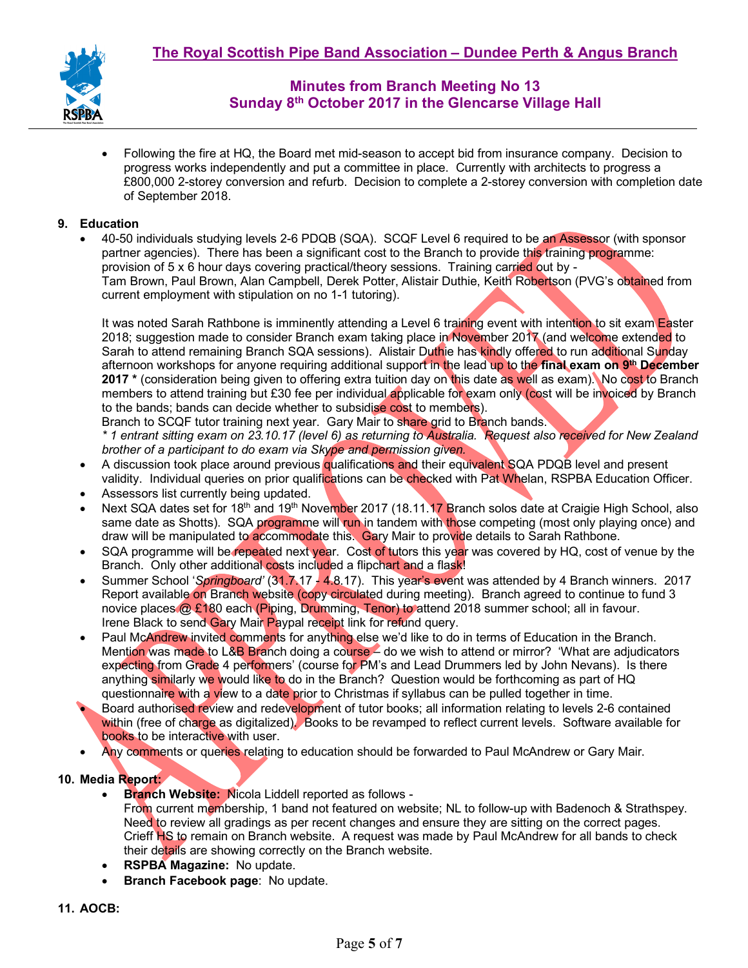

• Following the fire at HQ, the Board met mid-season to accept bid from insurance company. Decision to progress works independently and put a committee in place. Currently with architects to progress a £800,000 2-storey conversion and refurb. Decision to complete a 2-storey conversion with completion date of September 2018.

## **9. Education**

• 40-50 individuals studying levels 2-6 PDQB (SQA). SCQF Level 6 required to be an Assessor (with sponsor partner agencies). There has been a significant cost to the Branch to provide this training programme: provision of 5 x 6 hour days covering practical/theory sessions. Training carried out by - Tam Brown, Paul Brown, Alan Campbell, Derek Potter, Alistair Duthie, Keith Robertson (PVG's obtained from current employment with stipulation on no 1-1 tutoring).

It was noted Sarah Rathbone is imminently attending a Level 6 training event with intention to sit exam Easter 2018; suggestion made to consider Branch exam taking place in November 2017 (and welcome extended to Sarah to attend remaining Branch SQA sessions). Alistair Duthie has kindly offered to run additional Sunday afternoon workshops for anyone requiring additional support in the lead up to the **final exam on 9th December 2017 \*** (consideration being given to offering extra tuition day on this date as well as exam). No cost to Branch members to attend training but £30 fee per individual applicable for exam only (cost will be invoiced by Branch to the bands; bands can decide whether to subsidise cost to members).

Branch to SCQF tutor training next year. Gary Mair to share grid to Branch bands.

*\* 1 entrant sitting exam on 23.10.17 (level 6) as returning to Australia. Request also received for New Zealand brother of a participant to do exam via Skype and permission given.* 

- A discussion took place around previous qualifications and their equivalent SQA PDQB level and present validity. Individual queries on prior qualifications can be checked with Pat Whelan, RSPBA Education Officer.
- Assessors list currently being updated.
- Next SQA dates set for 18<sup>th</sup> and 19<sup>th</sup> November 2017 (18.11.17 Branch solos date at Craigie High School, also same date as Shotts). SQA programme will run in tandem with those competing (most only playing once) and draw will be manipulated to accommodate this. Gary Mair to provide details to Sarah Rathbone.
- SQA programme will be repeated next year. Cost of tutors this year was covered by HQ, cost of venue by the Branch. Only other additional costs included a flipchart and a flask!
- Summer School '*Springboard'* (31.7.17 4.8.17). This year's event was attended by 4 Branch winners. 2017 Report available on Branch website (copy circulated during meeting). Branch agreed to continue to fund 3 novice places @ £180 each (Piping, Drumming, Tenor) to attend 2018 summer school; all in favour. Irene Black to send Gary Mair Paypal receipt link for refund query.
- Paul McAndrew invited comments for anything else we'd like to do in terms of Education in the Branch. Mention was made to L&B Branch doing a course – do we wish to attend or mirror? 'What are adjudicators expecting from Grade 4 performers' (course for PM's and Lead Drummers led by John Nevans). Is there anything similarly we would like to do in the Branch? Question would be forthcoming as part of HQ questionnaire with a view to a date prior to Christmas if syllabus can be pulled together in time.

• Board authorised review and redevelopment of tutor books; all information relating to levels 2-6 contained within (free of charge as digitalized). Books to be revamped to reflect current levels. Software available for books to be interactive with user.

• Any comments or queries relating to education should be forwarded to Paul McAndrew or Gary Mair.

## **10. Media Report:**

• **Branch Website:** Nicola Liddell reported as follows -

From current membership, 1 band not featured on website; NL to follow-up with Badenoch & Strathspey. Need to review all gradings as per recent changes and ensure they are sitting on the correct pages. Crieff HS to remain on Branch website. A request was made by Paul McAndrew for all bands to check their details are showing correctly on the Branch website.

- **RSPBA Magazine:** No update.
- **Branch Facebook page**: No update.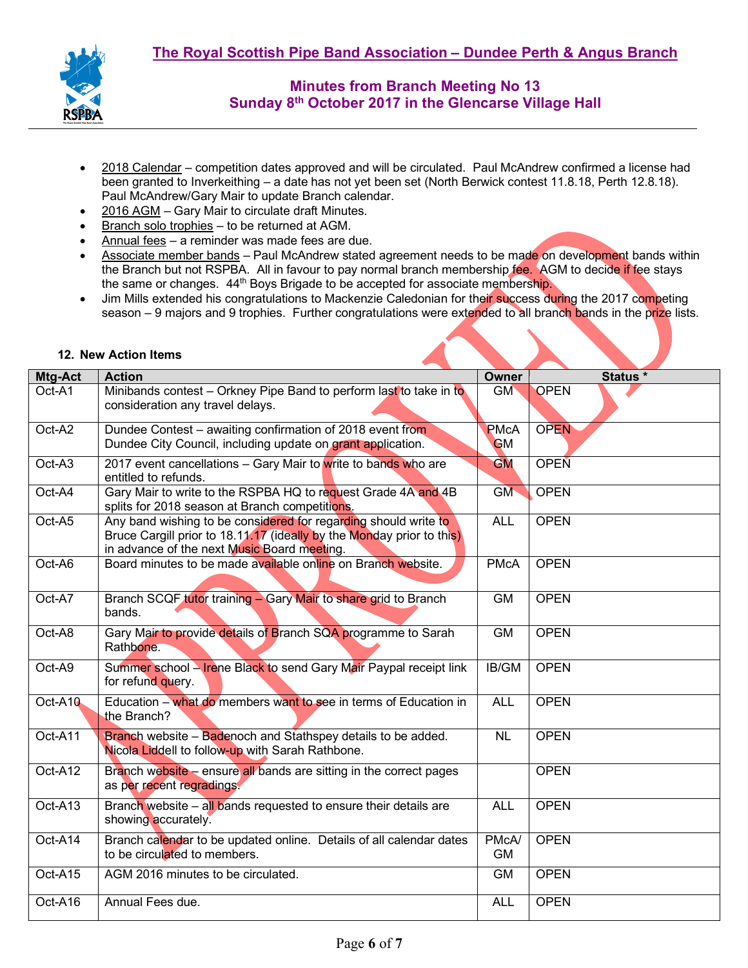

- 2018 Calendar competition dates approved and will be circulated. Paul McAndrew confirmed a license had been granted to Inverkeithing – a date has not yet been set (North Berwick contest 11.8.18, Perth 12.8.18). Paul McAndrew/Gary Mair to update Branch calendar.
- 2016 AGM Gary Mair to circulate draft Minutes.
- Branch solo trophies to be returned at AGM.
- Annual fees a reminder was made fees are due.
- Associate member bands Paul McAndrew stated agreement needs to be made on development bands within the Branch but not RSPBA. All in favour to pay normal branch membership fee. AGM to decide if fee stays the same or changes. 44<sup>th</sup> Boys Brigade to be accepted for associate membership.
- Jim Mills extended his congratulations to Mackenzie Caledonian for their success during the 2017 competing season – 9 majors and 9 trophies. Further congratulations were extended to all branch bands in the prize lists.

| Mtg-Act | <b>Action</b>                                                                                                                                                                           | <b>Owner</b>                    | Status *    |
|---------|-----------------------------------------------------------------------------------------------------------------------------------------------------------------------------------------|---------------------------------|-------------|
| Oct-A1  | Minibands contest - Orkney Pipe Band to perform last to take in to<br>consideration any travel delays.                                                                                  | GM                              | <b>OPEN</b> |
| Oct-A2  | Dundee Contest - awaiting confirmation of 2018 event from<br>Dundee City Council, including update on grant application.                                                                | <b>PMcA</b><br><b>GM</b>        | <b>OPEN</b> |
| Oct-A3  | 2017 event cancellations - Gary Mair to write to bands who are<br>entitled to refunds.                                                                                                  | <b>GM</b>                       | <b>OPEN</b> |
| Oct-A4  | Gary Mair to write to the RSPBA HQ to request Grade 4A and 4B<br>splits for 2018 season at Branch competitions.                                                                         | <b>GM</b>                       | <b>OPEN</b> |
| Oct-A5  | Any band wishing to be considered for regarding should write to<br>Bruce Cargill prior to 18.11.17 (ideally by the Monday prior to this)<br>in advance of the next Music Board meeting. | <b>ALL</b>                      | <b>OPEN</b> |
| Oct-A6  | Board minutes to be made available online on Branch website.                                                                                                                            | <b>PMcA</b>                     | <b>OPEN</b> |
| Oct-A7  | Branch SCQF tutor training - Gary Mair to share grid to Branch<br>bands.                                                                                                                | <b>GM</b>                       | <b>OPEN</b> |
| Oct-A8  | Gary Mair to provide details of Branch SQA programme to Sarah<br>Rathbone.                                                                                                              | <b>GM</b>                       | <b>OPEN</b> |
| Oct-A9  | Summer school - Irene Black to send Gary Mair Paypal receipt link<br>for refund query.                                                                                                  | IB/GM                           | <b>OPEN</b> |
| Oct-A10 | Education - what do members want to see in terms of Education in<br>the Branch?                                                                                                         | <b>ALL</b>                      | <b>OPEN</b> |
| Oct-A11 | Branch website - Badenoch and Stathspey details to be added.<br>Nicola Liddell to follow-up with Sarah Rathbone.                                                                        | <b>NL</b>                       | <b>OPEN</b> |
| Oct-A12 | Branch website - ensure all bands are sitting in the correct pages<br>as per recent regradings.                                                                                         |                                 | <b>OPEN</b> |
| Oct-A13 | Branch website – all bands requested to ensure their details are<br>showing accurately.                                                                                                 | <b>ALL</b>                      | <b>OPEN</b> |
| Oct-A14 | Branch calendar to be updated online. Details of all calendar dates<br>to be circulated to members.                                                                                     | PM <sub>cA</sub> /<br><b>GM</b> | <b>OPEN</b> |
| Oct-A15 | AGM 2016 minutes to be circulated.                                                                                                                                                      | <b>GM</b>                       | <b>OPEN</b> |
| Oct-A16 | Annual Fees due.                                                                                                                                                                        | <b>ALL</b>                      | <b>OPEN</b> |

#### **12. New Action Items**